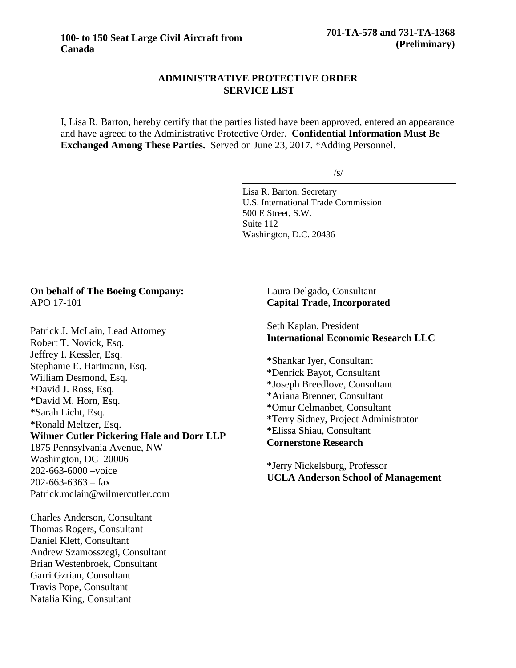## **ADMINISTRATIVE PROTECTIVE ORDER SERVICE LIST**

I, Lisa R. Barton, hereby certify that the parties listed have been approved, entered an appearance and have agreed to the Administrative Protective Order. **Confidential Information Must Be Exchanged Among These Parties.** Served on June 23, 2017. \*Adding Personnel.

/s/

Lisa R. Barton, Secretary U.S. International Trade Commission 500 E Street, S.W. Suite 112 Washington, D.C. 20436

#### **On behalf of The Boeing Company:** APO 17-101

Patrick J. McLain, Lead Attorney Robert T. Novick, Esq. Jeffrey I. Kessler, Esq. Stephanie E. Hartmann, Esq. William Desmond, Esq. \*David J. Ross, Esq. \*David M. Horn, Esq. \*Sarah Licht, Esq. \*Ronald Meltzer, Esq. **Wilmer Cutler Pickering Hale and Dorr LLP** 1875 Pennsylvania Avenue, NW Washington, DC 20006 202-663-6000 –voice  $202 - 663 - 6363 - fax$ Patrick.mclain@wilmercutler.com

Charles Anderson, Consultant Thomas Rogers, Consultant Daniel Klett, Consultant Andrew Szamosszegi, Consultant Brian Westenbroek, Consultant Garri Gzrian, Consultant Travis Pope, Consultant Natalia King, Consultant

# Laura Delgado, Consultant **Capital Trade, Incorporated**

Seth Kaplan, President **International Economic Research LLC**

\*Shankar Iyer, Consultant \*Denrick Bayot, Consultant \*Joseph Breedlove, Consultant \*Ariana Brenner, Consultant \*Omur Celmanbet, Consultant \*Terry Sidney, Project Administrator \*Elissa Shiau, Consultant **Cornerstone Research**

\*Jerry Nickelsburg, Professor **UCLA Anderson School of Management**